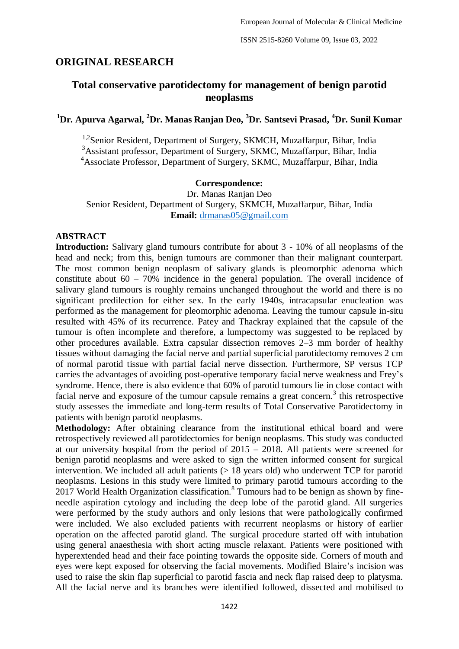# **ORIGINAL RESEARCH**

# **Total conservative parotidectomy for management of benign parotid neoplasms**

**<sup>1</sup>Dr. Apurva Agarwal, <sup>2</sup>Dr. Manas Ranjan Deo, <sup>3</sup>Dr. Santsevi Prasad, <sup>4</sup>Dr. Sunil Kumar**

<sup>1,2</sup>Senior Resident, Department of Surgery, SKMCH, Muzaffarpur, Bihar, India <sup>3</sup>Assistant professor, Department of Surgery, SKMC, Muzaffarpur, Bihar, India <sup>4</sup>Associate Professor, Department of Surgery, SKMC, Muzaffarpur, Bihar, India

#### **Correspondence:**

Dr. Manas Ranjan Deo Senior Resident, Department of Surgery, SKMCH, Muzaffarpur, Bihar, India **Email:** [drmanas05@gmail.com](mailto:drmanas05@gmail.com)

### **ABSTRACT**

**Introduction:** Salivary gland tumours contribute for about 3 - 10% of all neoplasms of the head and neck; from this, benign tumours are commoner than their malignant counterpart. The most common benign neoplasm of salivary glands is pleomorphic adenoma which constitute about  $60 - 70\%$  incidence in the general population. The overall incidence of salivary gland tumours is roughly remains unchanged throughout the world and there is no significant predilection for either sex. In the early 1940s, intracapsular enucleation was performed as the management for pleomorphic adenoma. Leaving the tumour capsule in-situ resulted with 45% of its recurrence. Patey and Thackray explained that the capsule of the tumour is often incomplete and therefore, a lumpectomy was suggested to be replaced by other procedures available. Extra capsular dissection removes 2–3 mm border of healthy tissues without damaging the facial nerve and partial superficial parotidectomy removes 2 cm of normal parotid tissue with partial facial nerve dissection. Furthermore, SP versus TCP carries the advantages of avoiding post-operative temporary facial nerve weakness and Frey's syndrome. Hence, there is also evidence that 60% of parotid tumours lie in close contact with facial nerve and exposure of the tumour capsule remains a great concern.<sup>3</sup> this retrospective study assesses the immediate and long-term results of Total Conservative Parotidectomy in patients with benign parotid neoplasms.

**Methodology:** After obtaining clearance from the institutional ethical board and were retrospectively reviewed all parotidectomies for benign neoplasms. This study was conducted at our university hospital from the period of 2015 – 2018. All patients were screened for benign parotid neoplasms and were asked to sign the written informed consent for surgical intervention. We included all adult patients  $(> 18$  years old) who underwent TCP for parotid neoplasms. Lesions in this study were limited to primary parotid tumours according to the 2017 World Health Organization classification.<sup>8</sup> Tumours had to be benign as shown by fineneedle aspiration cytology and including the deep lobe of the parotid gland. All surgeries were performed by the study authors and only lesions that were pathologically confirmed were included. We also excluded patients with recurrent neoplasms or history of earlier operation on the affected parotid gland. The surgical procedure started off with intubation using general anaesthesia with short acting muscle relaxant. Patients were positioned with hyperextended head and their face pointing towards the opposite side. Corners of mouth and eyes were kept exposed for observing the facial movements. Modified Blaire's incision was used to raise the skin flap superficial to parotid fascia and neck flap raised deep to platysma. All the facial nerve and its branches were identified followed, dissected and mobilised to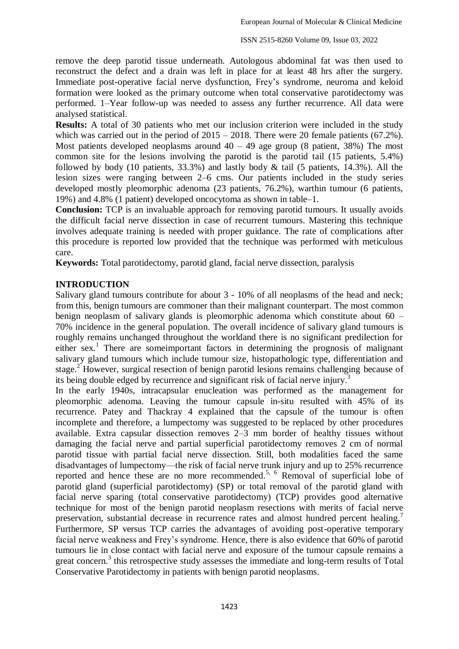remove the deep parotid tissue underneath. Autologous abdominal fat was then used to reconstruct the defect and a drain was left in place for at least 48 hrs after the surgery. Immediate post-operative facial nerve dysfunction, Frey's syndrome, neuroma and keloid formation were looked as the primary outcome when total conservative parotidectomy was performed. 1–Year follow-up was needed to assess any further recurrence. All data were analysed statistical.

**Results:** A total of 30 patients who met our inclusion criterion were included in the study which was carried out in the period of  $2015 - 2018$ . There were 20 female patients (67.2%). Most patients developed neoplasms around  $40 - 49$  age group (8 patient, 38%) The most common site for the lesions involving the parotid is the parotid tail (15 patients, 5.4%) followed by body (10 patients,  $33.3\%$ ) and lastly body & tail (5 patients, 14.3%). All the lesion sizes were ranging between 2–6 cms. Our patients included in the study series developed mostly pleomorphic adenoma (23 patients, 76.2%), warthin tumour (6 patients, 19%) and 4.8% (1 patient) developed oncocytoma as shown in table–1.

**Conclusion:** TCP is an invaluable approach for removing parotid tumours. It usually avoids the difficult facial nerve dissection in case of recurrent tumours. Mastering this technique involves adequate training is needed with proper guidance. The rate of complications after this procedure is reported low provided that the technique was performed with meticulous care.

**Keywords:** Total parotidectomy, parotid gland, facial nerve dissection, paralysis

# **INTRODUCTION**

Salivary gland tumours contribute for about 3 - 10% of all neoplasms of the head and neck; from this, benign tumours are commoner than their malignant counterpart. The most common benign neoplasm of salivary glands is pleomorphic adenoma which constitute about 60 – 70% incidence in the general population. The overall incidence of salivary gland tumours is roughly remains unchanged throughout the worldand there is no significant predilection for either sex.<sup>1</sup> There are someimportant factors in determining the prognosis of malignant salivary gland tumours which include tumour size, histopathologic type, differentiation and stage.<sup>2</sup> However, surgical resection of benign parotid lesions remains challenging because of its being double edged by recurrence and significant risk of facial nerve injury. 3

In the early 1940s, intracapsular enucleation was performed as the management for pleomorphic adenoma. Leaving the tumour capsule in-situ resulted with 45% of its recurrence. Patey and Thackray 4 explained that the capsule of the tumour is often incomplete and therefore, a lumpectomy was suggested to be replaced by other procedures available. Extra capsular dissection removes 2–3 mm border of healthy tissues without damaging the facial nerve and partial superficial parotidectomy removes 2 cm of normal parotid tissue with partial facial nerve dissection. Still, both modalities faced the same disadvantages of lumpectomy—the risk of facial nerve trunk injury and up to 25% recurrence reported and hence these are no more recommended.<sup>5, 6</sup> Removal of superficial lobe of parotid gland (superficial parotidectomy) (SP) or total removal of the parotid gland with facial nerve sparing (total conservative parotidectomy) (TCP) provides good alternative technique for most of the benign parotid neoplasm resections with merits of facial nerve preservation, substantial decrease in recurrence rates and almost hundred percent healing.<sup>7</sup> Furthermore, SP versus TCP carries the advantages of avoiding post-operative temporary facial nerve weakness and Frey's syndrome. Hence, there is also evidence that 60% of parotid tumours lie in close contact with facial nerve and exposure of the tumour capsule remains a great concern.<sup>3</sup> this retrospective study assesses the immediate and long-term results of Total Conservative Parotidectomy in patients with benign parotid neoplasms.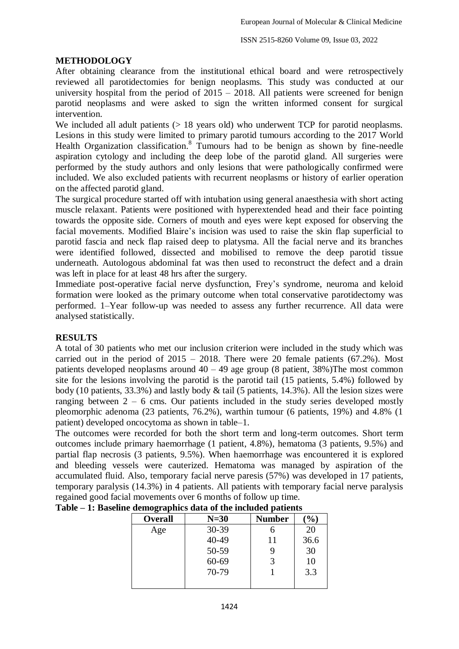# **METHODOLOGY**

After obtaining clearance from the institutional ethical board and were retrospectively reviewed all parotidectomies for benign neoplasms. This study was conducted at our university hospital from the period of  $2015 - 2018$ . All patients were screened for benign parotid neoplasms and were asked to sign the written informed consent for surgical intervention.

We included all adult patients ( $> 18$  years old) who underwent TCP for parotid neoplasms. Lesions in this study were limited to primary parotid tumours according to the 2017 World Health Organization classification.<sup>8</sup> Tumours had to be benign as shown by fine-needle aspiration cytology and including the deep lobe of the parotid gland. All surgeries were performed by the study authors and only lesions that were pathologically confirmed were included. We also excluded patients with recurrent neoplasms or history of earlier operation on the affected parotid gland.

The surgical procedure started off with intubation using general anaesthesia with short acting muscle relaxant. Patients were positioned with hyperextended head and their face pointing towards the opposite side. Corners of mouth and eyes were kept exposed for observing the facial movements. Modified Blaire's incision was used to raise the skin flap superficial to parotid fascia and neck flap raised deep to platysma. All the facial nerve and its branches were identified followed, dissected and mobilised to remove the deep parotid tissue underneath. Autologous abdominal fat was then used to reconstruct the defect and a drain was left in place for at least 48 hrs after the surgery.

Immediate post-operative facial nerve dysfunction, Frey's syndrome, neuroma and keloid formation were looked as the primary outcome when total conservative parotidectomy was performed. 1–Year follow-up was needed to assess any further recurrence. All data were analysed statistically.

# **RESULTS**

A total of 30 patients who met our inclusion criterion were included in the study which was carried out in the period of  $2015 - 2018$ . There were 20 female patients (67.2%). Most patients developed neoplasms around 40 – 49 age group (8 patient, 38%)The most common site for the lesions involving the parotid is the parotid tail (15 patients, 5.4%) followed by body (10 patients, 33.3%) and lastly body & tail (5 patients, 14.3%). All the lesion sizes were ranging between 2 – 6 cms. Our patients included in the study series developed mostly pleomorphic adenoma (23 patients, 76.2%), warthin tumour (6 patients, 19%) and 4.8% (1 patient) developed oncocytoma as shown in table–1.

The outcomes were recorded for both the short term and long-term outcomes. Short term outcomes include primary haemorrhage (1 patient, 4.8%), hematoma (3 patients, 9.5%) and partial flap necrosis (3 patients, 9.5%). When haemorrhage was encountered it is explored and bleeding vessels were cauterized. Hematoma was managed by aspiration of the accumulated fluid. Also, temporary facial nerve paresis (57%) was developed in 17 patients, temporary paralysis (14.3%) in 4 patients. All patients with temporary facial nerve paralysis regained good facial movements over 6 months of follow up time.

| Overall | $N=30$    | <b>Number</b> | $\mathcal{O}_0$ |
|---------|-----------|---------------|-----------------|
| Age     | 30-39     |               | 20              |
|         | 40-49     | 11            | 36.6            |
|         | 50-59     |               | 30              |
|         | $60 - 69$ |               | 10              |
|         | 70-79     |               | 3.3             |
|         |           |               |                 |

| Table $-1$ : Baseline demographics data of the included patients |  |  |  |  |
|------------------------------------------------------------------|--|--|--|--|
|                                                                  |  |  |  |  |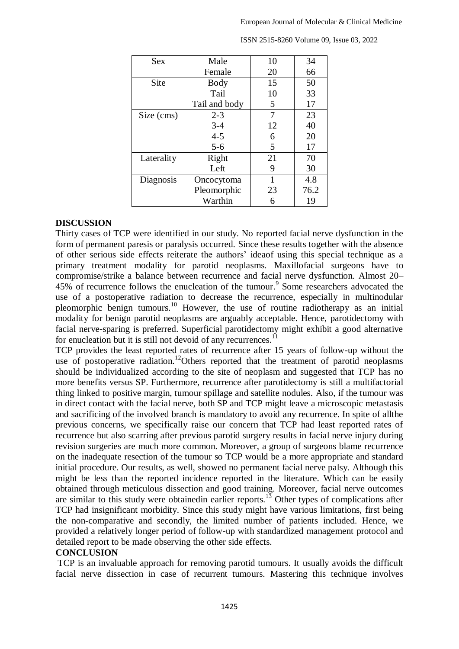| <b>Sex</b> | Male          | 10 | 34   |
|------------|---------------|----|------|
|            | Female        | 20 | 66   |
| Site       | <b>Body</b>   | 15 | 50   |
|            | Tail          | 10 | 33   |
|            | Tail and body | 5  | 17   |
| Size (cms) | $2 - 3$       | 7  | 23   |
|            | $3 - 4$       | 12 | 40   |
|            | $4 - 5$       | 6  | 20   |
|            | $5 - 6$       | 5  | 17   |
| Laterality | Right         | 21 | 70   |
|            | Left          | 9  | 30   |
| Diagnosis  | Oncocytoma    | 1  | 4.8  |
|            | Pleomorphic   | 23 | 76.2 |
|            | Warthin       | 6  | 19   |

ISSN 2515-8260 Volume 09, Issue 03, 2022

### **DISCUSSION**

Thirty cases of TCP were identified in our study. No reported facial nerve dysfunction in the form of permanent paresis or paralysis occurred. Since these results together with the absence of other serious side effects reiterate the authors' ideaof using this special technique as a primary treatment modality for parotid neoplasms. Maxillofacial surgeons have to compromise/strike a balance between recurrence and facial nerve dysfunction. Almost 20– 45% of recurrence follows the enucleation of the tumour. 9 Some researchers advocated the use of a postoperative radiation to decrease the recurrence, especially in multinodular pleomorphic benign tumours.<sup>10</sup> However, the use of routine radiotherapy as an initial modality for benign parotid neoplasms are arguably acceptable. Hence, parotidectomy with facial nerve-sparing is preferred. Superficial parotidectomy might exhibit a good alternative for enucleation but it is still not devoid of any recurrences.<sup>11</sup>

TCP provides the least reported rates of recurrence after 15 years of follow-up without the use of postoperative radiation.<sup>12</sup>Others reported that the treatment of parotid neoplasms should be individualized according to the site of neoplasm and suggested that TCP has no more benefits versus SP. Furthermore, recurrence after parotidectomy is still a multifactorial thing linked to positive margin, tumour spillage and satellite nodules. Also, if the tumour was in direct contact with the facial nerve, both SP and TCP might leave a microscopic metastasis and sacrificing of the involved branch is mandatory to avoid any recurrence. In spite of allthe previous concerns, we specifically raise our concern that TCP had least reported rates of recurrence but also scarring after previous parotid surgery results in facial nerve injury during revision surgeries are much more common. Moreover, a group of surgeons blame recurrence on the inadequate resection of the tumour so TCP would be a more appropriate and standard initial procedure. Our results, as well, showed no permanent facial nerve palsy. Although this might be less than the reported incidence reported in the literature. Which can be easily obtained through meticulous dissection and good training. Moreover, facial nerve outcomes are similar to this study were obtainedin earlier reports.<sup>13</sup> Other types of complications after TCP had insignificant morbidity. Since this study might have various limitations, first being the non-comparative and secondly, the limited number of patients included. Hence, we provided a relatively longer period of follow-up with standardized management protocol and detailed report to be made observing the other side effects.

# **CONCLUSION**

TCP is an invaluable approach for removing parotid tumours. It usually avoids the difficult facial nerve dissection in case of recurrent tumours. Mastering this technique involves